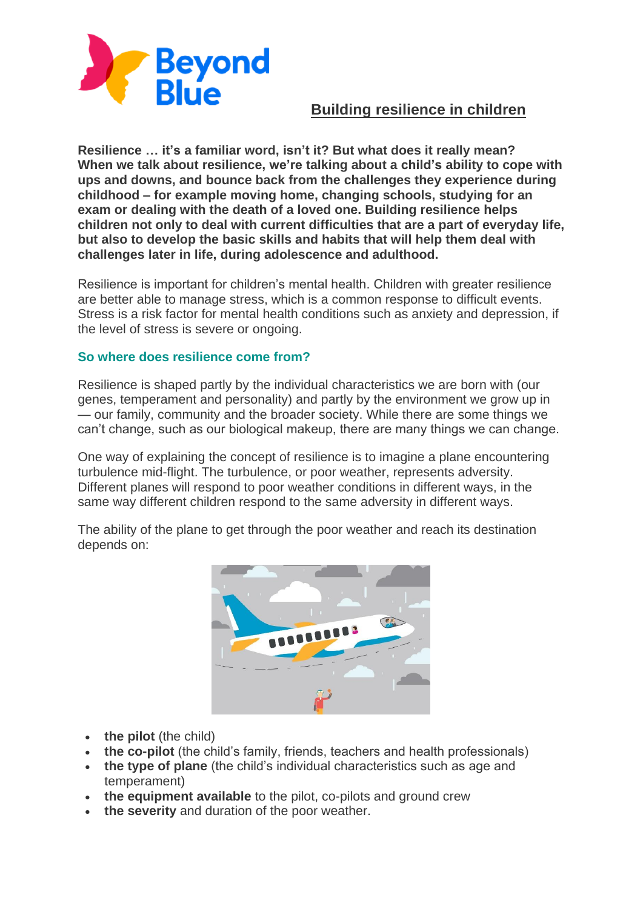

## **Building resilience in children**

**Resilience … it's a familiar word, isn't it? But what does it really mean? When we talk about resilience, we're talking about a child's ability to cope with ups and downs, and bounce back from the challenges they experience during childhood – for example moving home, changing schools, studying for an exam or dealing with the death of a loved one. Building resilience helps children not only to deal with current difficulties that are a part of everyday life, but also to develop the basic skills and habits that will help them deal with challenges later in life, during adolescence and adulthood.**

Resilience is important for children's mental health. Children with greater resilience are better able to manage stress, which is a common response to difficult events. Stress is a risk factor for mental health conditions such as anxiety and depression, if the level of stress is severe or ongoing.

## **So where does resilience come from?**

Resilience is shaped partly by the individual characteristics we are born with (our genes, temperament and personality) and partly by the environment we grow up in — our family, community and the broader society. While there are some things we can't change, such as our biological makeup, there are many things we can change.

One way of explaining the concept of resilience is to imagine a plane encountering turbulence mid-flight. The turbulence, or poor weather, represents adversity. Different planes will respond to poor weather conditions in different ways, in the same way different children respond to the same adversity in different ways.

The ability of the plane to get through the poor weather and reach its destination depends on:



- **the pilot** (the child)
- **the co-pilot** (the child's family, friends, teachers and health professionals)
- **the type of plane** (the child's individual characteristics such as age and temperament)
- **the equipment available** to the pilot, co-pilots and ground crew
- **the severity** and duration of the poor weather.